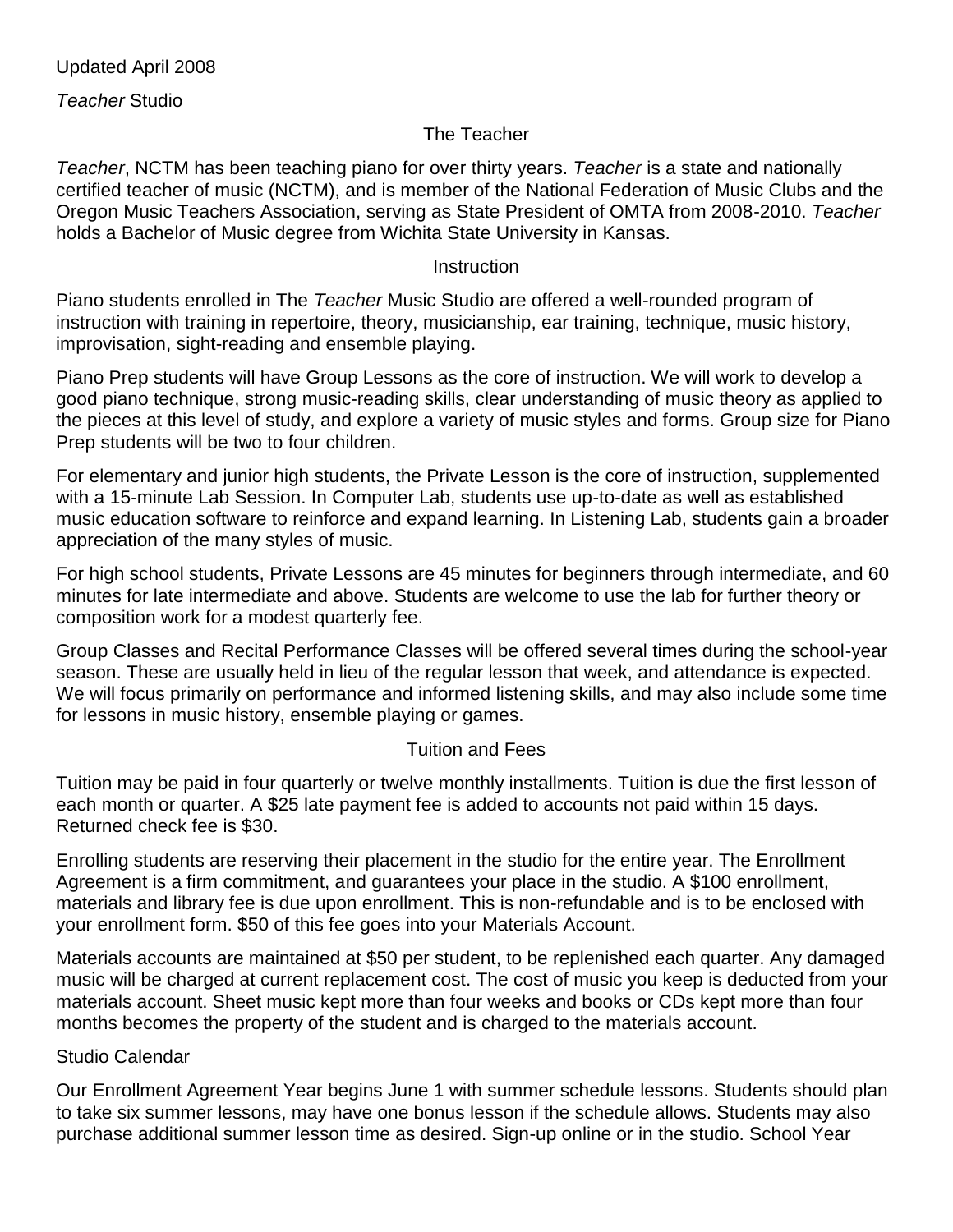*Teacher* Studio

# The Teacher

*Teacher*, NCTM has been teaching piano for over thirty years. *Teacher* is a state and nationally certified teacher of music (NCTM), and is member of the National Federation of Music Clubs and the Oregon Music Teachers Association, serving as State President of OMTA from 2008-2010. *Teacher*  holds a Bachelor of Music degree from Wichita State University in Kansas.

### **Instruction**

Piano students enrolled in The *Teacher* Music Studio are offered a well-rounded program of instruction with training in repertoire, theory, musicianship, ear training, technique, music history, improvisation, sight-reading and ensemble playing.

Piano Prep students will have Group Lessons as the core of instruction. We will work to develop a good piano technique, strong music-reading skills, clear understanding of music theory as applied to the pieces at this level of study, and explore a variety of music styles and forms. Group size for Piano Prep students will be two to four children.

For elementary and junior high students, the Private Lesson is the core of instruction, supplemented with a 15-minute Lab Session. In Computer Lab, students use up-to-date as well as established music education software to reinforce and expand learning. In Listening Lab, students gain a broader appreciation of the many styles of music.

For high school students, Private Lessons are 45 minutes for beginners through intermediate, and 60 minutes for late intermediate and above. Students are welcome to use the lab for further theory or composition work for a modest quarterly fee.

Group Classes and Recital Performance Classes will be offered several times during the school-year season. These are usually held in lieu of the regular lesson that week, and attendance is expected. We will focus primarily on performance and informed listening skills, and may also include some time for lessons in music history, ensemble playing or games.

# Tuition and Fees

Tuition may be paid in four quarterly or twelve monthly installments. Tuition is due the first lesson of each month or quarter. A \$25 late payment fee is added to accounts not paid within 15 days. Returned check fee is \$30.

Enrolling students are reserving their placement in the studio for the entire year. The Enrollment Agreement is a firm commitment, and guarantees your place in the studio. A \$100 enrollment, materials and library fee is due upon enrollment. This is non-refundable and is to be enclosed with your enrollment form. \$50 of this fee goes into your Materials Account.

Materials accounts are maintained at \$50 per student, to be replenished each quarter. Any damaged music will be charged at current replacement cost. The cost of music you keep is deducted from your materials account. Sheet music kept more than four weeks and books or CDs kept more than four months becomes the property of the student and is charged to the materials account.

# Studio Calendar

Our Enrollment Agreement Year begins June 1 with summer schedule lessons. Students should plan to take six summer lessons, may have one bonus lesson if the schedule allows. Students may also purchase additional summer lesson time as desired. Sign-up online or in the studio. School Year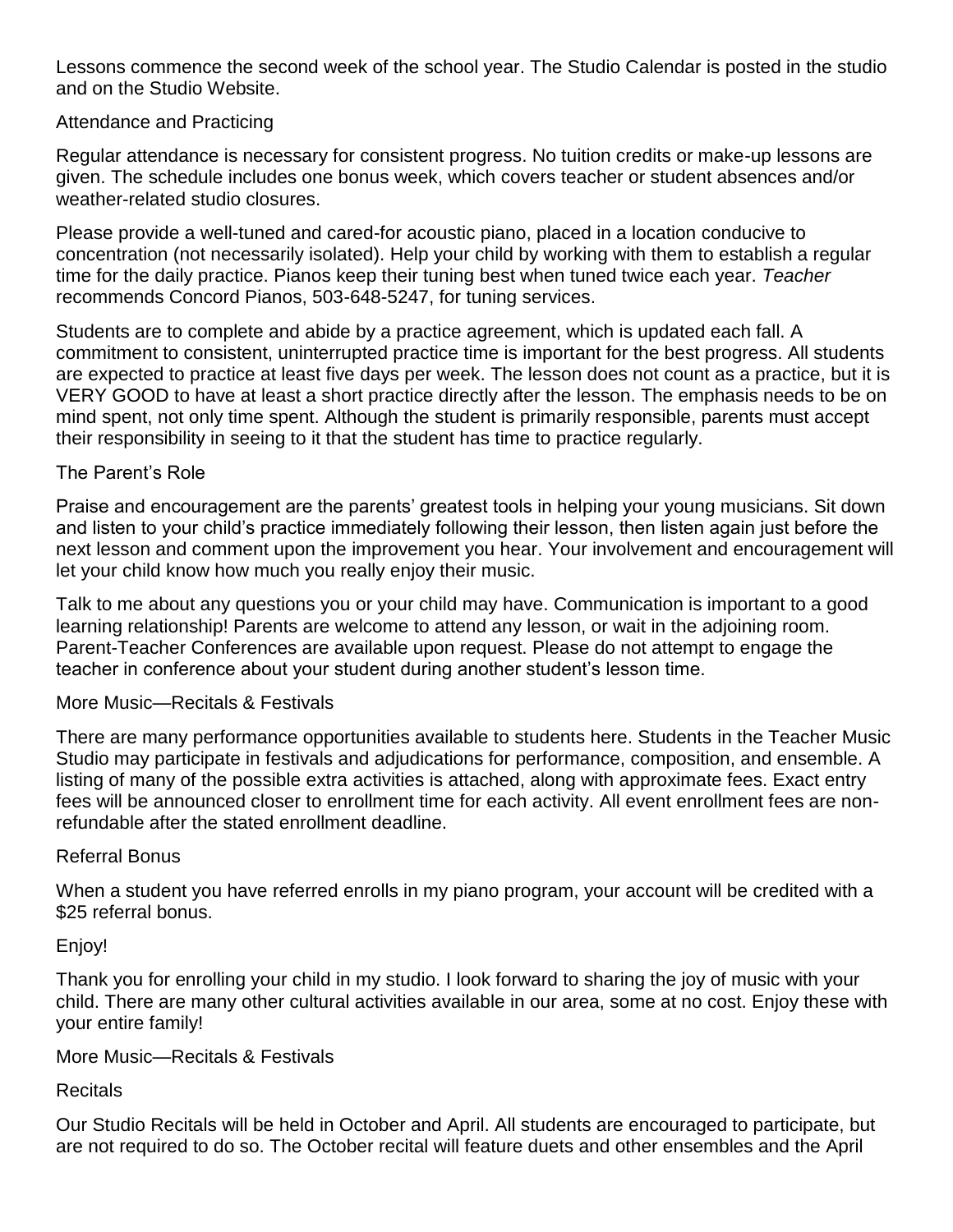Lessons commence the second week of the school year. The Studio Calendar is posted in the studio and on the Studio Website.

## Attendance and Practicing

Regular attendance is necessary for consistent progress. No tuition credits or make-up lessons are given. The schedule includes one bonus week, which covers teacher or student absences and/or weather-related studio closures.

Please provide a well-tuned and cared-for acoustic piano, placed in a location conducive to concentration (not necessarily isolated). Help your child by working with them to establish a regular time for the daily practice. Pianos keep their tuning best when tuned twice each year. *Teacher*  recommends Concord Pianos, 503-648-5247, for tuning services.

Students are to complete and abide by a practice agreement, which is updated each fall. A commitment to consistent, uninterrupted practice time is important for the best progress. All students are expected to practice at least five days per week. The lesson does not count as a practice, but it is VERY GOOD to have at least a short practice directly after the lesson. The emphasis needs to be on mind spent, not only time spent. Although the student is primarily responsible, parents must accept their responsibility in seeing to it that the student has time to practice regularly.

## The Parent's Role

Praise and encouragement are the parents' greatest tools in helping your young musicians. Sit down and listen to your child's practice immediately following their lesson, then listen again just before the next lesson and comment upon the improvement you hear. Your involvement and encouragement will let your child know how much you really enjoy their music.

Talk to me about any questions you or your child may have. Communication is important to a good learning relationship! Parents are welcome to attend any lesson, or wait in the adjoining room. Parent-Teacher Conferences are available upon request. Please do not attempt to engage the teacher in conference about your student during another student's lesson time.

## More Music—Recitals & Festivals

There are many performance opportunities available to students here. Students in the Teacher Music Studio may participate in festivals and adjudications for performance, composition, and ensemble. A listing of many of the possible extra activities is attached, along with approximate fees. Exact entry fees will be announced closer to enrollment time for each activity. All event enrollment fees are nonrefundable after the stated enrollment deadline.

### Referral Bonus

When a student you have referred enrolls in my piano program, your account will be credited with a \$25 referral bonus.

Enjoy!

Thank you for enrolling your child in my studio. I look forward to sharing the joy of music with your child. There are many other cultural activities available in our area, some at no cost. Enjoy these with your entire family!

### More Music—Recitals & Festivals

# **Recitals**

Our Studio Recitals will be held in October and April. All students are encouraged to participate, but are not required to do so. The October recital will feature duets and other ensembles and the April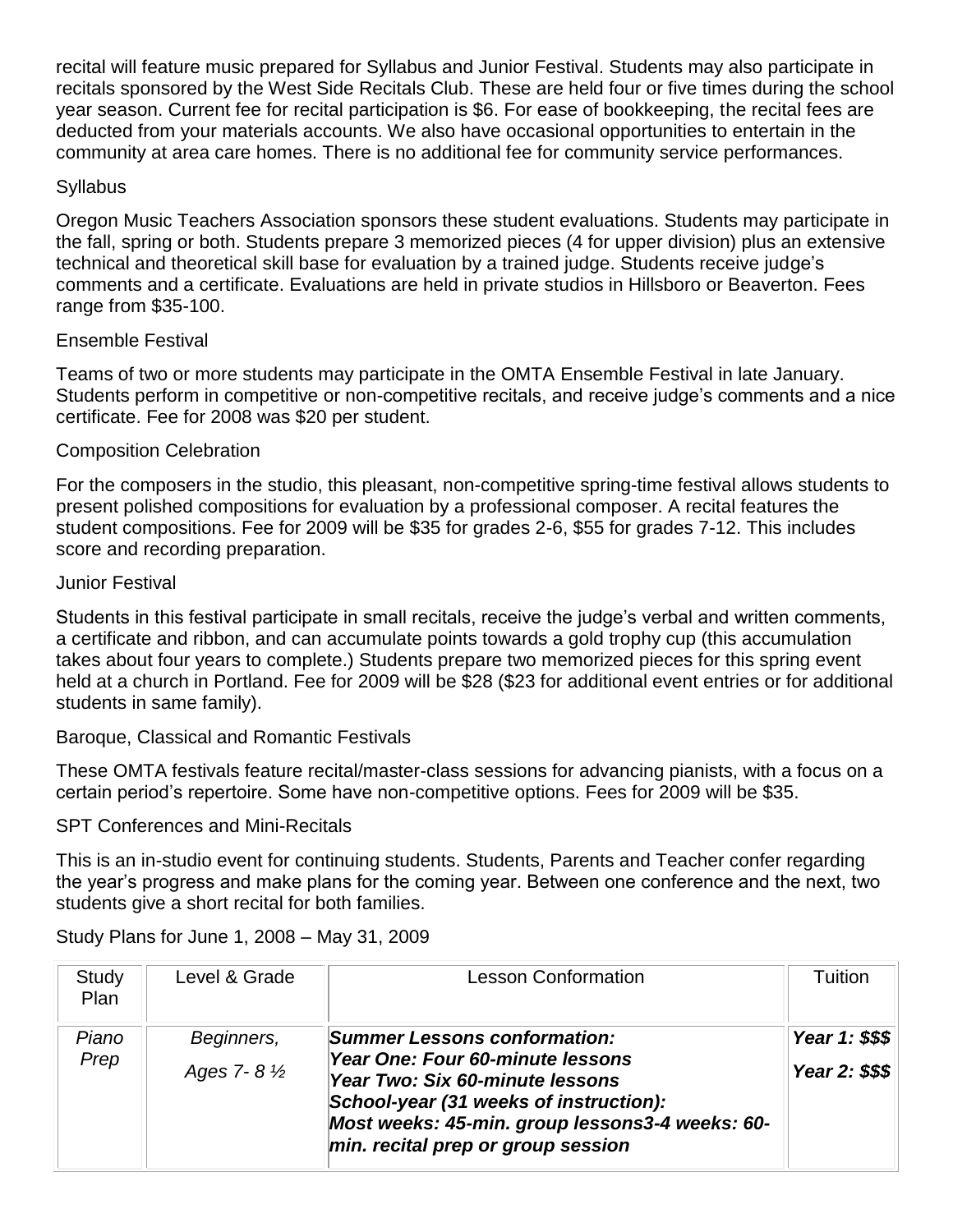recital will feature music prepared for Syllabus and Junior Festival. Students may also participate in recitals sponsored by the West Side Recitals Club. These are held four or five times during the school year season. Current fee for recital participation is \$6. For ease of bookkeeping, the recital fees are deducted from your materials accounts. We also have occasional opportunities to entertain in the community at area care homes. There is no additional fee for community service performances.

## **Syllabus**

Oregon Music Teachers Association sponsors these student evaluations. Students may participate in the fall, spring or both. Students prepare 3 memorized pieces (4 for upper division) plus an extensive technical and theoretical skill base for evaluation by a trained judge. Students receive judge's comments and a certificate. Evaluations are held in private studios in Hillsboro or Beaverton. Fees range from \$35-100.

## Ensemble Festival

Teams of two or more students may participate in the OMTA Ensemble Festival in late January. Students perform in competitive or non-competitive recitals, and receive judge's comments and a nice certificate. Fee for 2008 was \$20 per student.

## Composition Celebration

For the composers in the studio, this pleasant, non-competitive spring-time festival allows students to present polished compositions for evaluation by a professional composer. A recital features the student compositions. Fee for 2009 will be \$35 for grades 2-6, \$55 for grades 7-12. This includes score and recording preparation.

### Junior Festival

Students in this festival participate in small recitals, receive the judge's verbal and written comments, a certificate and ribbon, and can accumulate points towards a gold trophy cup (this accumulation takes about four years to complete.) Students prepare two memorized pieces for this spring event held at a church in Portland. Fee for 2009 will be \$28 (\$23 for additional event entries or for additional students in same family).

Baroque, Classical and Romantic Festivals

These OMTA festivals feature recital/master-class sessions for advancing pianists, with a focus on a certain period's repertoire. Some have non-competitive options. Fees for 2009 will be \$35.

### SPT Conferences and Mini-Recitals

This is an in-studio event for continuing students. Students, Parents and Teacher confer regarding the year's progress and make plans for the coming year. Between one conference and the next, two students give a short recital for both families.

| Study<br>Plan | Level & Grade                        | <b>Lesson Conformation</b>                                                                                                                                                                                                                    | Tuition                          |
|---------------|--------------------------------------|-----------------------------------------------------------------------------------------------------------------------------------------------------------------------------------------------------------------------------------------------|----------------------------------|
| Piano<br>Prep | Beginners,<br>Ages 7-8 $\frac{1}{2}$ | <b>Summer Lessons conformation:</b><br>Year One: Four 60-minute lessons<br>Year Two: Six 60-minute lessons<br>School-year (31 weeks of instruction):<br>Most weeks: 45-min. group lessons3-4 weeks: 60-<br>min. recital prep or group session | Year 1: \$\$\$<br>Year 2: \$\$\$ |

Study Plans for June 1, 2008 – May 31, 2009